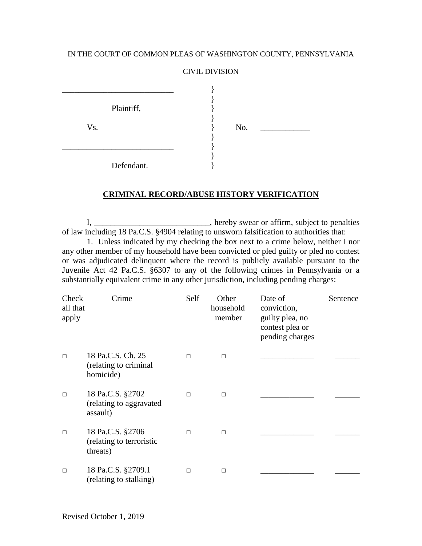## IN THE COURT OF COMMON PLEAS OF WASHINGTON COUNTY, PENNSYLVANIA

## CIVIL DIVISION

|     | Plaintiff, |  |     |  |
|-----|------------|--|-----|--|
| Vs. |            |  | No. |  |
|     |            |  |     |  |
|     |            |  |     |  |
|     |            |  |     |  |
|     | Defendant. |  |     |  |

## **CRIMINAL RECORD/ABUSE HISTORY VERIFICATION**

I, \_\_\_\_\_\_\_\_\_\_\_\_\_\_\_\_\_\_\_\_\_\_\_\_\_\_\_\_, hereby swear or affirm, subject to penalties of law including 18 Pa.C.S. §4904 relating to unsworn falsification to authorities that: 1. Unless indicated by my checking the box next to a crime below, neither I nor

any other member of my household have been convicted or pled guilty or pled no contest or was adjudicated delinquent where the record is publicly available pursuant to the Juvenile Act 42 Pa.C.S. §6307 to any of the following crimes in Pennsylvania or a substantially equivalent crime in any other jurisdiction, including pending charges:

| Check<br>all that<br>apply | Crime                                                    | Self   | Other<br>household<br>member | Date of<br>conviction,<br>guilty plea, no<br>contest plea or<br>pending charges | Sentence |
|----------------------------|----------------------------------------------------------|--------|------------------------------|---------------------------------------------------------------------------------|----------|
| $\Box$                     | 18 Pa.C.S. Ch. 25<br>(relating to criminal<br>homicide)  | $\Box$ | П                            |                                                                                 |          |
| $\Box$                     | 18 Pa.C.S. §2702<br>(relating to aggravated<br>assault)  | $\Box$ | $\Box$                       |                                                                                 |          |
| $\Box$                     | 18 Pa.C.S. §2706<br>(relating to terroristic<br>threats) | $\Box$ | П                            |                                                                                 |          |
| $\Box$                     | 18 Pa.C.S. §2709.1<br>(relating to stalking)             | $\Box$ | $\Box$                       |                                                                                 |          |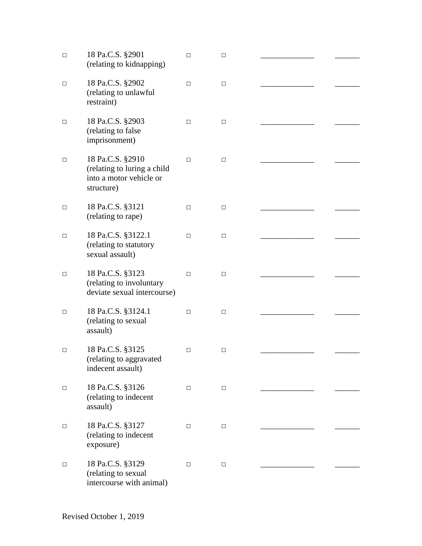| $\Box$ | 18 Pa.C.S. §2901<br>(relating to kidnapping)                                             | □      | □      |  |
|--------|------------------------------------------------------------------------------------------|--------|--------|--|
| □      | 18 Pa.C.S. §2902<br>(relating to unlawful<br>restraint)                                  | □      | □      |  |
| □      | 18 Pa.C.S. §2903<br>(relating to false<br>imprisonment)                                  | □      | $\Box$ |  |
| □      | 18 Pa.C.S. §2910<br>(relating to luring a child<br>into a motor vehicle or<br>structure) | $\Box$ | □      |  |
| □      | 18 Pa.C.S. §3121<br>(relating to rape)                                                   | $\Box$ | □      |  |
| □      | 18 Pa.C.S. §3122.1<br>(relating to statutory<br>sexual assault)                          | □      | $\Box$ |  |
| □      | 18 Pa.C.S. §3123<br>(relating to involuntary<br>deviate sexual intercourse)              | □      | □      |  |
| □      | 18 Pa.C.S. §3124.1<br>(relating to sexual<br>assault)                                    | $\Box$ | □      |  |
| □      | 18 Pa.C.S. §3125<br>(relating to aggravated<br>indecent assault)                         | $\Box$ | $\Box$ |  |
| □      | 18 Pa.C.S. §3126<br>(relating to indecent<br>assault)                                    | $\Box$ | $\Box$ |  |
| □      | 18 Pa.C.S. §3127<br>(relating to indecent<br>exposure)                                   | $\Box$ | $\Box$ |  |
| □      | 18 Pa.C.S. §3129<br>(relating to sexual<br>intercourse with animal)                      | $\Box$ | □      |  |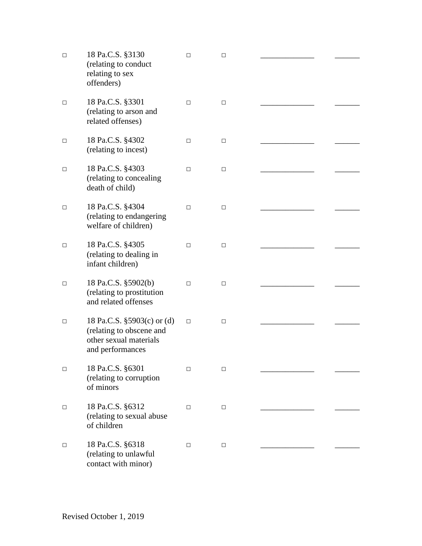| $\Box$ | 18 Pa.C.S. §3130                                                                                     | $\Box$ | $\Box$ |  |
|--------|------------------------------------------------------------------------------------------------------|--------|--------|--|
|        | (relating to conduct<br>relating to sex<br>offenders)                                                |        |        |  |
| □      | 18 Pa.C.S. §3301<br>(relating to arson and<br>related offenses)                                      | □      | □      |  |
| □      | 18 Pa.C.S. §4302<br>(relating to incest)                                                             | □      | □      |  |
| $\Box$ | 18 Pa.C.S. §4303<br>(relating to concealing<br>death of child)                                       | $\Box$ | □      |  |
| $\Box$ | 18 Pa.C.S. §4304<br>(relating to endangering<br>welfare of children)                                 | □      | □      |  |
| $\Box$ | 18 Pa.C.S. §4305<br>(relating to dealing in<br>infant children)                                      | □      | □      |  |
| $\Box$ | 18 Pa.C.S. §5902(b)<br>(relating to prostitution<br>and related offenses                             | □      | □      |  |
| $\Box$ | 18 Pa.C.S. §5903(c) or (d)<br>(relating to obscene and<br>other sexual materials<br>and performances | $\Box$ | □      |  |
| $\Box$ | 18 Pa.C.S. §6301<br>(relating to corruption<br>of minors                                             | $\Box$ | □      |  |
| $\Box$ | 18 Pa.C.S. §6312<br>(relating to sexual abuse<br>of children                                         | □      | $\Box$ |  |
| $\Box$ | 18 Pa.C.S. §6318<br>(relating to unlawful<br>contact with minor)                                     | □      | □      |  |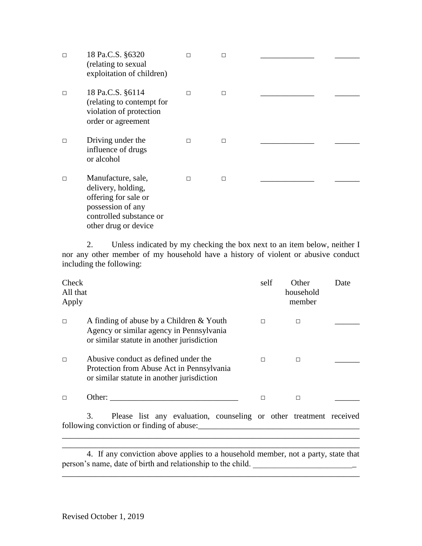| $\Box$ | 18 Pa.C.S. §6320<br>(relating to sexual<br>exploitation of children)                                                                     | $\Box$ | П      |  |
|--------|------------------------------------------------------------------------------------------------------------------------------------------|--------|--------|--|
| $\Box$ | 18 Pa.C.S. §6114<br>(relating to contempt for<br>violation of protection<br>order or agreement                                           | $\Box$ | П      |  |
| $\Box$ | Driving under the<br>influence of drugs<br>or alcohol                                                                                    | $\Box$ | $\Box$ |  |
| $\Box$ | Manufacture, sale,<br>delivery, holding,<br>offering for sale or<br>possession of any<br>controlled substance or<br>other drug or device | П      | $\Box$ |  |

2. Unless indicated by my checking the box next to an item below, neither I nor any other member of my household have a history of violent or abusive conduct including the following:

| <b>Check</b><br>All that<br>Apply |                                                                                                                                    | self | Other<br>household<br>member | Date |
|-----------------------------------|------------------------------------------------------------------------------------------------------------------------------------|------|------------------------------|------|
| $\Box$                            | A finding of abuse by a Children & Youth<br>Agency or similar agency in Pennsylvania<br>or similar statute in another jurisdiction | П    | п                            |      |
| П                                 | Abusive conduct as defined under the<br>Protection from Abuse Act in Pennsylvania<br>or similar statute in another jurisdiction    | П    | П                            |      |
|                                   | )ther:                                                                                                                             |      | П                            |      |

3. Please list any evaluation, counseling or other treatment received following conviction or finding of abuse:\_\_\_\_\_\_\_\_\_\_\_\_\_\_\_\_\_\_\_\_\_\_\_\_\_\_\_\_\_\_\_\_\_\_\_\_\_\_\_

\_\_\_\_\_\_\_\_\_\_\_\_\_\_\_\_\_\_\_\_\_\_\_\_\_\_\_\_\_\_\_\_\_\_\_\_\_\_\_\_\_\_\_\_\_\_\_\_\_\_\_\_\_\_\_\_\_\_\_\_\_\_\_\_\_\_\_\_\_\_\_\_

4. If any conviction above applies to a household member, not a party, state that person's name, date of birth and relationship to the child. \_\_\_\_\_\_\_\_\_\_\_\_\_\_\_\_\_\_\_\_\_

\_\_\_\_\_\_\_\_\_\_\_\_\_\_\_\_\_\_\_\_\_\_\_\_\_\_\_\_\_\_\_\_\_\_\_\_\_\_\_\_\_\_\_\_\_\_\_\_\_\_\_\_\_\_\_\_\_\_\_\_\_\_\_\_\_\_\_\_\_\_\_\_

\_\_\_\_\_\_\_\_\_\_\_\_\_\_\_\_\_\_\_\_\_\_\_\_\_\_\_\_\_\_\_\_\_\_\_\_\_\_\_\_\_\_\_\_\_\_\_\_\_\_\_\_\_\_\_\_\_\_\_\_\_\_\_\_\_\_\_\_\_\_\_\_